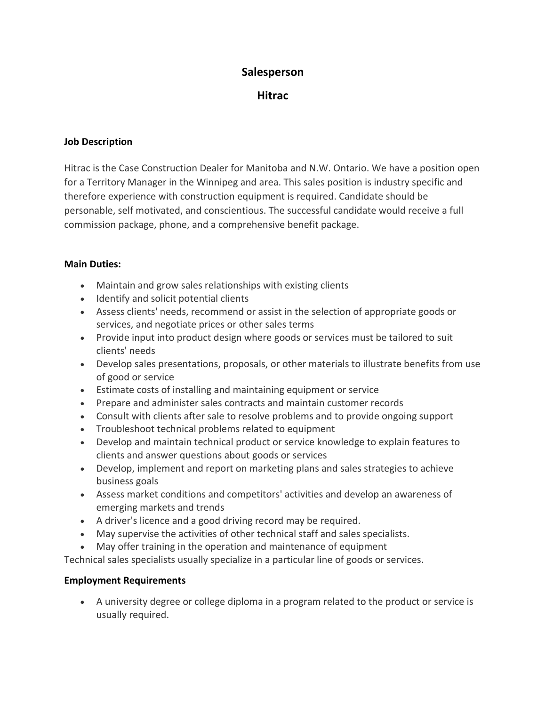# **Salesperson**

**Hitrac**

### **Job Description**

Hitrac is the Case Construction Dealer for Manitoba and N.W. Ontario. We have a position open for a Territory Manager in the Winnipeg and area. This sales position is industry specific and therefore experience with construction equipment is required. Candidate should be personable, self motivated, and conscientious. The successful candidate would receive a full commission package, phone, and a comprehensive benefit package.

#### **Main Duties:**

- Maintain and grow sales relationships with existing clients
- Identify and solicit potential clients
- Assess clients' needs, recommend or assist in the selection of appropriate goods or services, and negotiate prices or other sales terms
- Provide input into product design where goods or services must be tailored to suit clients' needs
- Develop sales presentations, proposals, or other materials to illustrate benefits from use of good or service
- Estimate costs of installing and maintaining equipment or service
- Prepare and administer sales contracts and maintain customer records
- Consult with clients after sale to resolve problems and to provide ongoing support
- Troubleshoot technical problems related to equipment
- Develop and maintain technical product or service knowledge to explain features to clients and answer questions about goods or services
- Develop, implement and report on marketing plans and sales strategies to achieve business goals
- Assess market conditions and competitors' activities and develop an awareness of emerging markets and trends
- A driver's licence and a good driving record may be required.
- May supervise the activities of other technical staff and sales specialists.
- May offer training in the operation and maintenance of equipment

Technical sales specialists usually specialize in a particular line of goods or services.

#### **Employment Requirements**

• A university degree or college diploma in a program related to the product or service is usually required.